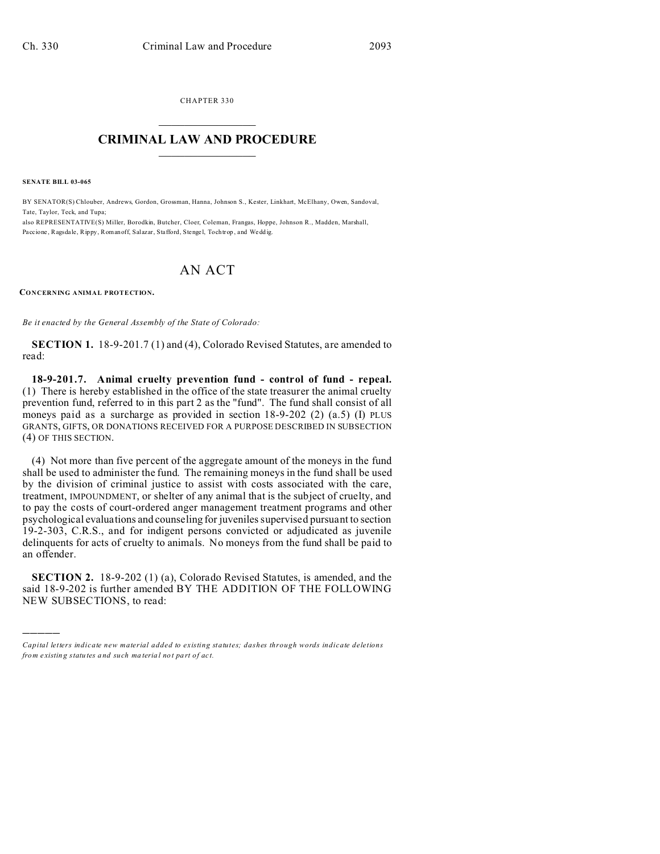CHAPTER 330  $\overline{\phantom{a}}$  , where  $\overline{\phantom{a}}$ 

## **CRIMINAL LAW AND PROCEDURE**  $\_$   $\_$   $\_$   $\_$   $\_$   $\_$   $\_$   $\_$   $\_$

**SENATE BILL 03-065**

)))))

BY SENATOR(S) Chlouber, Andrews, Gordon, Grossman, Hanna, Johnson S., Kester, Linkhart, McElhany, Owen, Sandoval, Tate, Taylor, Teck, and Tupa;

also REPRESENTATIVE(S) Miller, Borodkin, Butcher, Cloer, Coleman, Frangas, Hoppe, Johnson R., Madden, Marshall, Paccione , Ragsda le, Rippy, Romanoff, Salazar, Stafford, Stenge l, Tochtrop , and Wedd ig.

## AN ACT

**CONCERNING ANIMAL PROTECTION.**

*Be it enacted by the General Assembly of the State of Colorado:*

**SECTION 1.** 18-9-201.7 (1) and (4), Colorado Revised Statutes, are amended to read:

**18-9-201.7. Animal cruelty prevention fund - control of fund - repeal.** (1) There is hereby established in the office of the state treasurer the animal cruelty prevention fund, referred to in this part 2 as the "fund". The fund shall consist of all moneys paid as a surcharge as provided in section 18-9-202 (2) (a.5) (I) PLUS GRANTS, GIFTS, OR DONATIONS RECEIVED FOR A PURPOSE DESCRIBED IN SUBSECTION (4) OF THIS SECTION.

(4) Not more than five percent of the aggregate amount of the moneys in the fund shall be used to administer the fund. The remaining moneys in the fund shall be used by the division of criminal justice to assist with costs associated with the care, treatment, IMPOUNDMENT, or shelter of any animal that is the subject of cruelty, and to pay the costs of court-ordered anger management treatment programs and other psychological evaluations and counseling for juveniles supervised pursuant to section 19-2-303, C.R.S., and for indigent persons convicted or adjudicated as juvenile delinquents for acts of cruelty to animals. No moneys from the fund shall be paid to an offender.

**SECTION 2.** 18-9-202 (1) (a), Colorado Revised Statutes, is amended, and the said 18-9-202 is further amended BY THE ADDITION OF THE FOLLOWING NEW SUBSECTIONS, to read:

*Capital letters indicate new material added to existing statutes; dashes through words indicate deletions from e xistin g statu tes a nd such ma teria l no t pa rt of ac t.*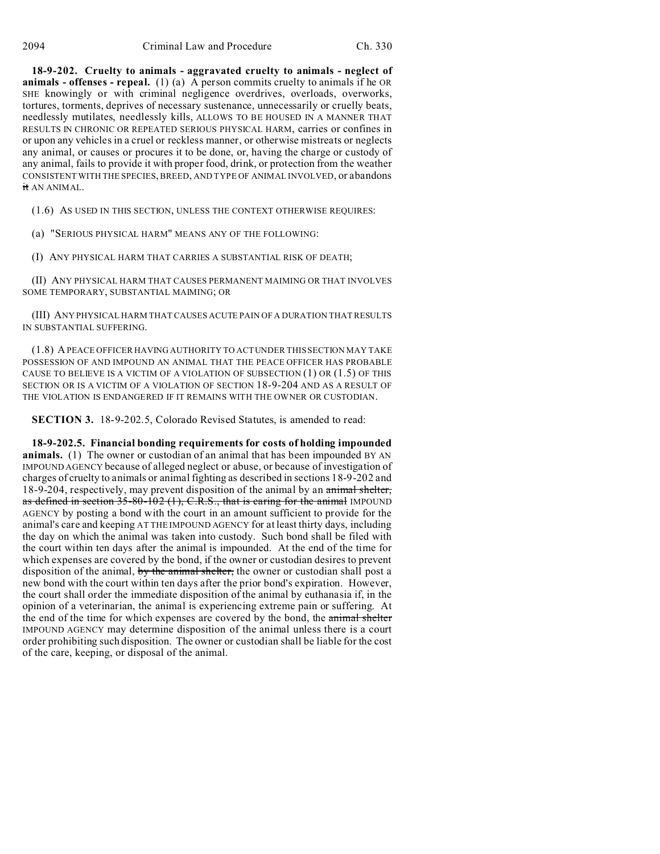**18-9-202. Cruelty to animals - aggravated cruelty to animals - neglect of animals - offenses - repeal.** (1) (a) A person commits cruelty to animals if he OR SHE knowingly or with criminal negligence overdrives, overloads, overworks, tortures, torments, deprives of necessary sustenance, unnecessarily or cruelly beats, needlessly mutilates, needlessly kills, ALLOWS TO BE HOUSED IN A MANNER THAT RESULTS IN CHRONIC OR REPEATED SERIOUS PHYSICAL HARM, carries or confines in or upon any vehicles in a cruel or reckless manner, or otherwise mistreats or neglects any animal, or causes or procures it to be done, or, having the charge or custody of any animal, fails to provide it with proper food, drink, or protection from the weather CONSISTENT WITH THE SPECIES, BREED, AND TYPE OF ANIMAL INVOLVED, or abandons it AN ANIMAL.

(1.6) AS USED IN THIS SECTION, UNLESS THE CONTEXT OTHERWISE REQUIRES:

(a) "SERIOUS PHYSICAL HARM" MEANS ANY OF THE FOLLOWING:

(I) ANY PHYSICAL HARM THAT CARRIES A SUBSTANTIAL RISK OF DEATH;

(II) ANY PHYSICAL HARM THAT CAUSES PERMANENT MAIMING OR THAT INVOLVES SOME TEMPORARY, SUBSTANTIAL MAIMING; OR

(III) ANY PHYSICAL HARM THAT CAUSES ACUTE PAIN OF A DURATION THAT RESULTS IN SUBSTANTIAL SUFFERING.

(1.8) A PEACE OFFICER HAVING AUTHORITY TO ACT UNDER THIS SECTION MAY TAKE POSSESSION OF AND IMPOUND AN ANIMAL THAT THE PEACE OFFICER HAS PROBABLE CAUSE TO BELIEVE IS A VICTIM OF A VIOLATION OF SUBSECTION (1) OR (1.5) OF THIS SECTION OR IS A VICTIM OF A VIOLATION OF SECTION 18-9-204 AND AS A RESULT OF THE VIOLATION IS ENDANGERED IF IT REMAINS WITH THE OWNER OR CUSTODIAN.

**SECTION 3.** 18-9-202.5, Colorado Revised Statutes, is amended to read:

**18-9-202.5. Financial bonding requirements for costs of holding impounded animals.** (1) The owner or custodian of an animal that has been impounded BY AN IMPOUND AGENCY because of alleged neglect or abuse, or because of investigation of charges of cruelty to animals or animal fighting as described in sections 18-9-202 and 18-9-204, respectively, may prevent disposition of the animal by an animal shelter, as defined in section 35-80-102 (1), C.R.S., that is caring for the animal IMPOUND AGENCY by posting a bond with the court in an amount sufficient to provide for the animal's care and keeping AT THE IMPOUND AGENCY for at least thirty days, including the day on which the animal was taken into custody. Such bond shall be filed with the court within ten days after the animal is impounded. At the end of the time for which expenses are covered by the bond, if the owner or custodian desires to prevent disposition of the animal, by the animal shelter, the owner or custodian shall post a new bond with the court within ten days after the prior bond's expiration. However, the court shall order the immediate disposition of the animal by euthanasia if, in the opinion of a veterinarian, the animal is experiencing extreme pain or suffering. At the end of the time for which expenses are covered by the bond, the animal shelter IMPOUND AGENCY may determine disposition of the animal unless there is a court order prohibiting such disposition. The owner or custodian shall be liable for the cost of the care, keeping, or disposal of the animal.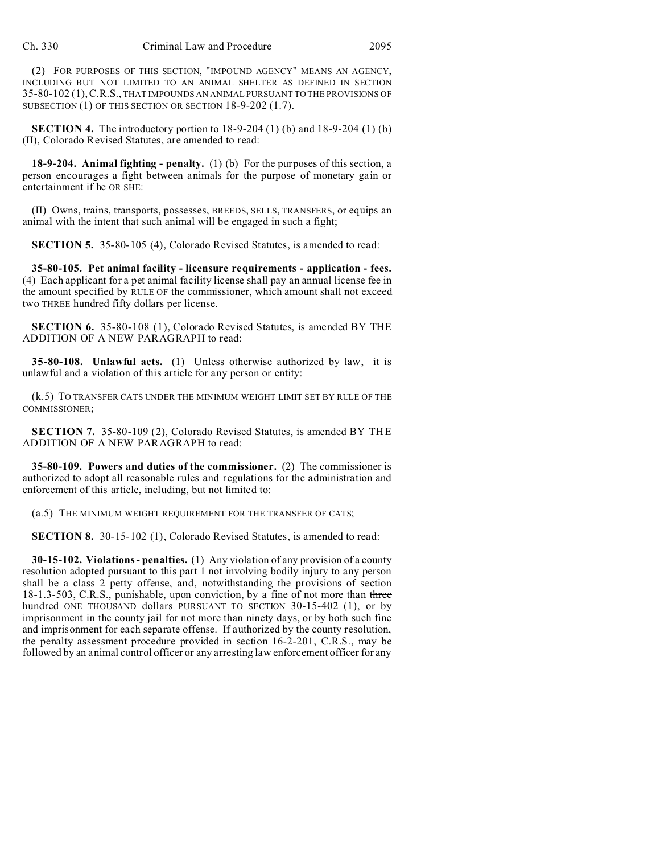(2) FOR PURPOSES OF THIS SECTION, "IMPOUND AGENCY" MEANS AN AGENCY, INCLUDING BUT NOT LIMITED TO AN ANIMAL SHELTER AS DEFINED IN SECTION 35-80-102 (1),C.R.S., THAT IMPOUNDS AN ANIMAL PURSUANT TO THE PROVISIONS OF SUBSECTION (1) OF THIS SECTION OR SECTION 18-9-202 (1.7).

**SECTION 4.** The introductory portion to 18-9-204 (1) (b) and 18-9-204 (1) (b) (II), Colorado Revised Statutes, are amended to read:

**18-9-204. Animal fighting - penalty.** (1) (b) For the purposes of this section, a person encourages a fight between animals for the purpose of monetary gain or entertainment if he OR SHE:

(II) Owns, trains, transports, possesses, BREEDS, SELLS, TRANSFERS, or equips an animal with the intent that such animal will be engaged in such a fight;

**SECTION 5.** 35-80-105 (4), Colorado Revised Statutes, is amended to read:

**35-80-105. Pet animal facility - licensure requirements - application - fees.** (4) Each applicant for a pet animal facility license shall pay an annual license fee in the amount specified by RULE OF the commissioner, which amount shall not exceed two THREE hundred fifty dollars per license.

**SECTION 6.** 35-80-108 (1), Colorado Revised Statutes, is amended BY THE ADDITION OF A NEW PARAGRAPH to read:

**35-80-108. Unlawful acts.** (1) Unless otherwise authorized by law, it is unlawful and a violation of this article for any person or entity:

(k.5) TO TRANSFER CATS UNDER THE MINIMUM WEIGHT LIMIT SET BY RULE OF THE COMMISSIONER;

**SECTION 7.** 35-80-109 (2), Colorado Revised Statutes, is amended BY THE ADDITION OF A NEW PARAGRAPH to read:

**35-80-109. Powers and duties of the commissioner.** (2) The commissioner is authorized to adopt all reasonable rules and regulations for the administration and enforcement of this article, including, but not limited to:

(a.5) THE MINIMUM WEIGHT REQUIREMENT FOR THE TRANSFER OF CATS;

**SECTION 8.** 30-15-102 (1), Colorado Revised Statutes, is amended to read:

**30-15-102. Violations - penalties.** (1) Any violation of any provision of a county resolution adopted pursuant to this part 1 not involving bodily injury to any person shall be a class 2 petty offense, and, notwithstanding the provisions of section 18-1.3-503, C.R.S., punishable, upon conviction, by a fine of not more than three hundred ONE THOUSAND dollars PURSUANT TO SECTION  $30-15-402$  (1), or by imprisonment in the county jail for not more than ninety days, or by both such fine and imprisonment for each separate offense. If authorized by the county resolution, the penalty assessment procedure provided in section 16-2-201, C.R.S., may be followed by an animal control officer or any arresting law enforcement officer for any